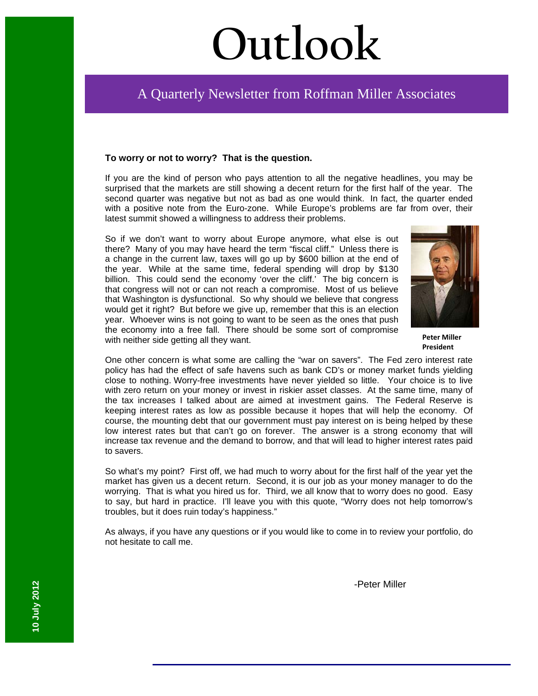# **Outlook**

# A Quarterly Newsletter from Roffman Miller Associates

#### **To worry or not to worry? That is the question.**

If you are the kind of person who pays attention to all the negative headlines, you may be surprised that the markets are still showing a decent return for the first half of the year. The second quarter was negative but not as bad as one would think. In fact, the quarter ended with a positive note from the Euro-zone. While Europe's problems are far from over, their latest summit showed a willingness to address their problems.

So if we don't want to worry about Europe anymore, what else is out there? Many of you may have heard the term "fiscal cliff." Unless there is a change in the current law, taxes will go up by \$600 billion at the end of the year. While at the same time, federal spending will drop by \$130 billion. This could send the economy 'over the cliff.' The big concern is that congress will not or can not reach a compromise. Most of us believe that Washington is dysfunctional. So why should we believe that congress would get it right? But before we give up, remember that this is an election year. Whoever wins is not going to want to be seen as the ones that push the economy into a free fall. There should be some sort of compromise with neither side getting all they want.



**Peter Miller President**

One other concern is what some are calling the "war on savers". The Fed zero interest rate policy has had the effect of safe havens such as bank CD's or money market funds yielding close to nothing. Worry-free investments have never yielded so little. Your choice is to live with zero return on your money or invest in riskier asset classes. At the same time, many of the tax increases I talked about are aimed at investment gains. The Federal Reserve is keeping interest rates as low as possible because it hopes that will help the economy. Of course, the mounting debt that our government must pay interest on is being helped by these low interest rates but that can't go on forever. The answer is a strong economy that will increase tax revenue and the demand to borrow, and that will lead to higher interest rates paid to savers.

So what's my point? First off, we had much to worry about for the first half of the year yet the market has given us a decent return. Second, it is our job as your money manager to do the worrying. That is what you hired us for. Third, we all know that to worry does no good. Easy to say, but hard in practice. I'll leave you with this quote, "Worry does not help tomorrow's troubles, but it does ruin today's happiness."

As always, if you have any questions or if you would like to come in to review your portfolio, do not hesitate to call me.

-Peter Miller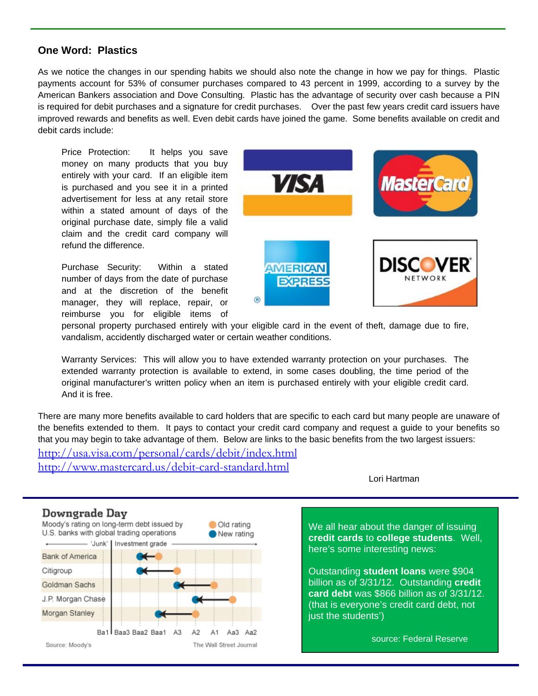#### **One Word: Plastics**

As we notice the changes in our spending habits we should also note the change in how we pay for things. Plastic payments account for 53% of consumer purchases compared to 43 percent in 1999, according to a survey by the American Bankers association and Dove Consulting. Plastic has the advantage of security over cash because a PIN is required for debit purchases and a signature for credit purchases. Over the past few years credit card issuers have improved rewards and benefits as well. Even debit cards have joined the game. Some benefits available on credit and debit cards include:

Price Protection: It helps you save money on many products that you buy entirely with your card. If an eligible item is purchased and you see it in a printed advertisement for less at any retail store within a stated amount of days of the original purchase date, simply file a valid claim and the credit card company will refund the difference.

Purchase Security: Within a stated number of days from the date of purchase and at the discretion of the benefit manager, they will replace, repair, or reimburse you for eligible items of



personal property purchased entirely with your eligible card in the event of theft, damage due to fire, vandalism, accidently discharged water or certain weather conditions.

Warranty Services: This will allow you to have extended warranty protection on your purchases. The extended warranty protection is available to extend, in some cases doubling, the time period of the original manufacturer's written policy when an item is purchased entirely with your eligible credit card. And it is free.

There are many more benefits available to card holders that are specific to each card but many people are unaware of the benefits extended to them. It pays to contact your credit card company and request a guide to your benefits so that you may begin to take advantage of them. Below are links to the basic benefits from the two largest issuers:

http://usa.visa.com/personal/cards/debit/index.html http://www.mastercard.us/debit-card-standard.html

Lori Hartman

We all hear about the danger of issuing here's some interesting news: **credit cards** to **college students**. Well,

Outstanding **student loans** were \$904 billion as of 3/31/12. Outstanding **credit card debt** was \$866 billion as of 3/31/12. (that is everyone's credit card debt, not just the students')

source: Federal Reserve

## Downgrade Day



Source: Moody's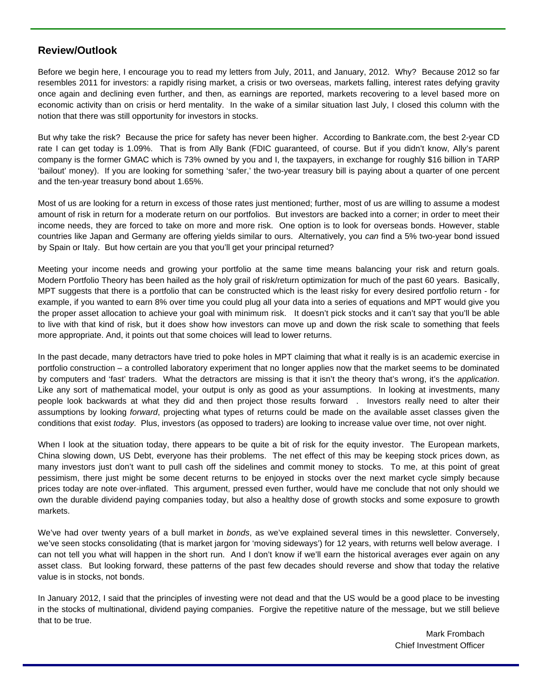### **Review/Outlook**

Before we begin here, I encourage you to read my letters from July, 2011, and January, 2012. Why? Because 2012 so far resembles 2011 for investors: a rapidly rising market, a crisis or two overseas, markets falling, interest rates defying gravity once again and declining even further, and then, as earnings are reported, markets recovering to a level based more on economic activity than on crisis or herd mentality. In the wake of a similar situation last July, I closed this column with the notion that there was still opportunity for investors in stocks.

But why take the risk? Because the price for safety has never been higher. According to Bankrate.com, the best 2-year CD rate I can get today is 1.09%. That is from Ally Bank (FDIC guaranteed, of course. But if you didn't know, Ally's parent company is the former GMAC which is 73% owned by you and I, the taxpayers, in exchange for roughly \$16 billion in TARP 'bailout' money). If you are looking for something 'safer,' the two-year treasury bill is paying about a quarter of one percent and the ten-year treasury bond about 1.65%.

Most of us are looking for a return in excess of those rates just mentioned; further, most of us are willing to assume a modest amount of risk in return for a moderate return on our portfolios. But investors are backed into a corner; in order to meet their income needs, they are forced to take on more and more risk. One option is to look for overseas bonds. However, stable countries like Japan and Germany are offering yields similar to ours. Alternatively, you *can* find a 5% two-year bond issued by Spain or Italy. But how certain are you that you'll get your principal returned?

Meeting your income needs and growing your portfolio at the same time means balancing your risk and return goals. Modern Portfolio Theory has been hailed as the holy grail of risk/return optimization for much of the past 60 years. Basically, MPT suggests that there is a portfolio that can be constructed which is the least risky for every desired portfolio return - for example, if you wanted to earn 8% over time you could plug all your data into a series of equations and MPT would give you the proper asset allocation to achieve your goal with minimum risk. It doesn't pick stocks and it can't say that you'll be able to live with that kind of risk, but it does show how investors can move up and down the risk scale to something that feels more appropriate. And, it points out that some choices will lead to lower returns.

In the past decade, many detractors have tried to poke holes in MPT claiming that what it really is is an academic exercise in portfolio construction – a controlled laboratory experiment that no longer applies now that the market seems to be dominated by computers and 'fast' traders. What the detractors are missing is that it isn't the theory that's wrong, it's the *application*. Like any sort of mathematical model, your output is only as good as your assumptions. In looking at investments, many people look backwards at what they did and then project those results forward . Investors really need to alter their assumptions by looking *forward*, projecting what types of returns could be made on the available asset classes given the conditions that exist *today*. Plus, investors (as opposed to traders) are looking to increase value over time, not over night.

When I look at the situation today, there appears to be quite a bit of risk for the equity investor. The European markets, China slowing down, US Debt, everyone has their problems. The net effect of this may be keeping stock prices down, as many investors just don't want to pull cash off the sidelines and commit money to stocks. To me, at this point of great pessimism, there just might be some decent returns to be enjoyed in stocks over the next market cycle simply because prices today are note over-inflated. This argument, pressed even further, would have me conclude that not only should we own the durable dividend paying companies today, but also a healthy dose of growth stocks and some exposure to growth markets.

We've had over twenty years of a bull market in *bonds*, as we've explained several times in this newsletter. Conversely, we've seen stocks consolidating (that is market jargon for 'moving sideways') for 12 years, with returns well below average. I can not tell you what will happen in the short run. And I don't know if we'll earn the historical averages ever again on any asset class. But looking forward, these patterns of the past few decades should reverse and show that today the relative value is in stocks, not bonds.

In January 2012, I said that the principles of investing were not dead and that the US would be a good place to be investing in the stocks of multinational, dividend paying companies. Forgive the repetitive nature of the message, but we still believe that to be true.

> Mark Frombach Chief Investment Officer